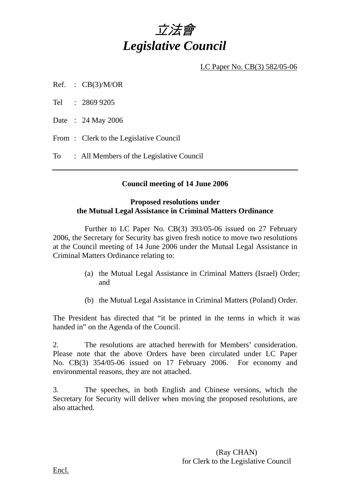

LC Paper No. CB(3) 582/05-06

Ref. :  $CB(3)/M/OR$ 

Tel : 2869 9205

Date : 24 May 2006

From: Clerk to the Legislative Council

To : All Members of the Legislative Council

### **Council meeting of 14 June 2006**

#### **Proposed resolutions under the Mutual Legal Assistance in Criminal Matters Ordinance**

 Further to LC Paper No. CB(3) 393/05-06 issued on 27 February 2006, the Secretary for Security has given fresh notice to move two resolutions at the Council meeting of 14 June 2006 under the Mutual Legal Assistance in Criminal Matters Ordinance relating to:

- (a) the Mutual Legal Assistance in Criminal Matters (Israel) Order; and
- (b) the Mutual Legal Assistance in Criminal Matters (Poland) Order.

The President has directed that "it be printed in the terms in which it was handed in" on the Agenda of the Council.

2. The resolutions are attached herewith for Members' consideration. Please note that the above Orders have been circulated under LC Paper No. CB(3) 354/05-06 issued on 17 February 2006. For economy and environmental reasons, they are not attached.

3. The speeches, in both English and Chinese versions, which the Secretary for Security will deliver when moving the proposed resolutions, are also attached.

> (Ray CHAN) for Clerk to the Legislative Council

Encl.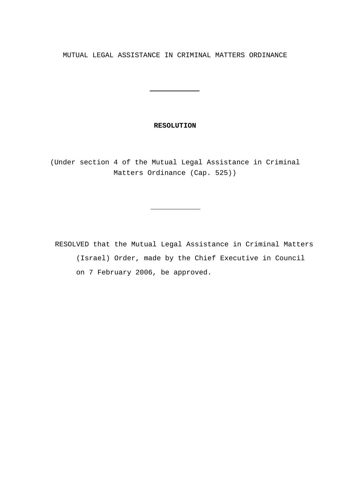MUTUAL LEGAL ASSISTANCE IN CRIMINAL MATTERS ORDINANCE

#### **RESOLUTION**

<u> 1990 - John Barn Barn, amerikansk politiker</u>

(Under section 4 of the Mutual Legal Assistance in Criminal Matters Ordinance (Cap. 525))

 RESOLVED that the Mutual Legal Assistance in Criminal Matters (Israel) Order, made by the Chief Executive in Council on 7 February 2006, be approved.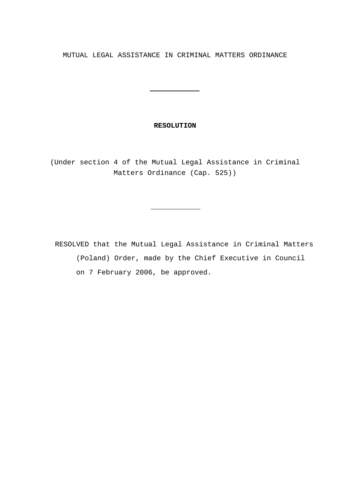MUTUAL LEGAL ASSISTANCE IN CRIMINAL MATTERS ORDINANCE

#### **RESOLUTION**

<u> 1990 - John Barn Barn, amerikansk politiker</u>

(Under section 4 of the Mutual Legal Assistance in Criminal Matters Ordinance (Cap. 525))

 RESOLVED that the Mutual Legal Assistance in Criminal Matters (Poland) Order, made by the Chief Executive in Council on 7 February 2006, be approved.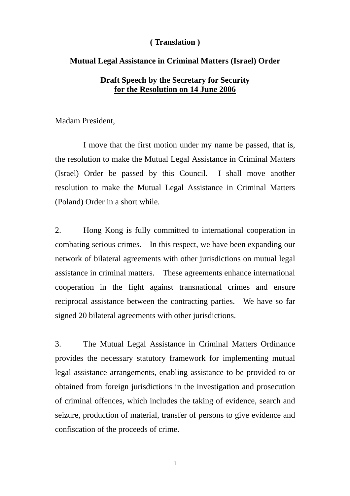### **( Translation )**

#### **Mutual Legal Assistance in Criminal Matters (Israel) Order**

## **Draft Speech by the Secretary for Security for the Resolution on 14 June 2006**

Madam President,

 I move that the first motion under my name be passed, that is, the resolution to make the Mutual Legal Assistance in Criminal Matters (Israel) Order be passed by this Council. I shall move another resolution to make the Mutual Legal Assistance in Criminal Matters (Poland) Order in a short while.

2. Hong Kong is fully committed to international cooperation in combating serious crimes. In this respect, we have been expanding our network of bilateral agreements with other jurisdictions on mutual legal assistance in criminal matters. These agreements enhance international cooperation in the fight against transnational crimes and ensure reciprocal assistance between the contracting parties. We have so far signed 20 bilateral agreements with other jurisdictions.

3. The Mutual Legal Assistance in Criminal Matters Ordinance provides the necessary statutory framework for implementing mutual legal assistance arrangements, enabling assistance to be provided to or obtained from foreign jurisdictions in the investigation and prosecution of criminal offences, which includes the taking of evidence, search and seizure, production of material, transfer of persons to give evidence and confiscation of the proceeds of crime.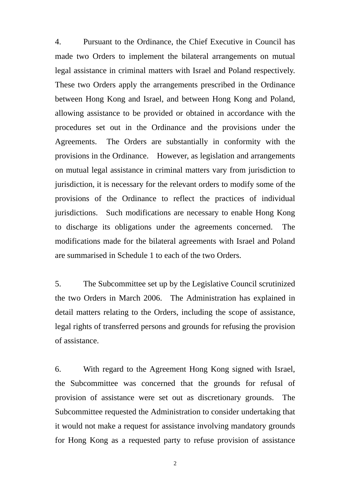4. Pursuant to the Ordinance, the Chief Executive in Council has made two Orders to implement the bilateral arrangements on mutual legal assistance in criminal matters with Israel and Poland respectively. These two Orders apply the arrangements prescribed in the Ordinance between Hong Kong and Israel, and between Hong Kong and Poland, allowing assistance to be provided or obtained in accordance with the procedures set out in the Ordinance and the provisions under the Agreements. The Orders are substantially in conformity with the provisions in the Ordinance. However, as legislation and arrangements on mutual legal assistance in criminal matters vary from jurisdiction to jurisdiction, it is necessary for the relevant orders to modify some of the provisions of the Ordinance to reflect the practices of individual jurisdictions. Such modifications are necessary to enable Hong Kong to discharge its obligations under the agreements concerned. The modifications made for the bilateral agreements with Israel and Poland are summarised in Schedule 1 to each of the two Orders.

5. The Subcommittee set up by the Legislative Council scrutinized the two Orders in March 2006. The Administration has explained in detail matters relating to the Orders, including the scope of assistance, legal rights of transferred persons and grounds for refusing the provision of assistance.

6. With regard to the Agreement Hong Kong signed with Israel, the Subcommittee was concerned that the grounds for refusal of provision of assistance were set out as discretionary grounds. The Subcommittee requested the Administration to consider undertaking that it would not make a request for assistance involving mandatory grounds for Hong Kong as a requested party to refuse provision of assistance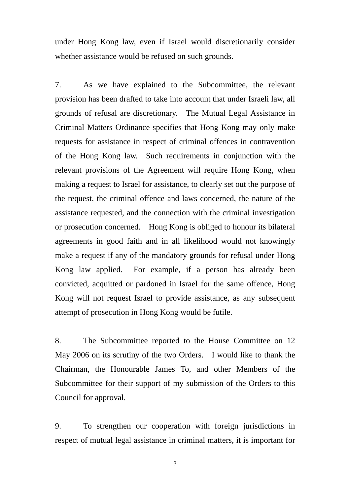under Hong Kong law, even if Israel would discretionarily consider whether assistance would be refused on such grounds.

7. As we have explained to the Subcommittee, the relevant provision has been drafted to take into account that under Israeli law, all grounds of refusal are discretionary. The Mutual Legal Assistance in Criminal Matters Ordinance specifies that Hong Kong may only make requests for assistance in respect of criminal offences in contravention of the Hong Kong law. Such requirements in conjunction with the relevant provisions of the Agreement will require Hong Kong, when making a request to Israel for assistance, to clearly set out the purpose of the request, the criminal offence and laws concerned, the nature of the assistance requested, and the connection with the criminal investigation or prosecution concerned. Hong Kong is obliged to honour its bilateral agreements in good faith and in all likelihood would not knowingly make a request if any of the mandatory grounds for refusal under Hong Kong law applied. For example, if a person has already been convicted, acquitted or pardoned in Israel for the same offence, Hong Kong will not request Israel to provide assistance, as any subsequent attempt of prosecution in Hong Kong would be futile.

8. The Subcommittee reported to the House Committee on 12 May 2006 on its scrutiny of the two Orders. I would like to thank the Chairman, the Honourable James To, and other Members of the Subcommittee for their support of my submission of the Orders to this Council for approval.

9. To strengthen our cooperation with foreign jurisdictions in respect of mutual legal assistance in criminal matters, it is important for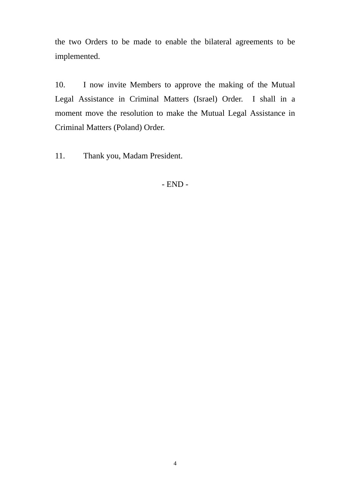the two Orders to be made to enable the bilateral agreements to be implemented.

10. I now invite Members to approve the making of the Mutual Legal Assistance in Criminal Matters (Israel) Order. I shall in a moment move the resolution to make the Mutual Legal Assistance in Criminal Matters (Poland) Order.

11. Thank you, Madam President.

- END -